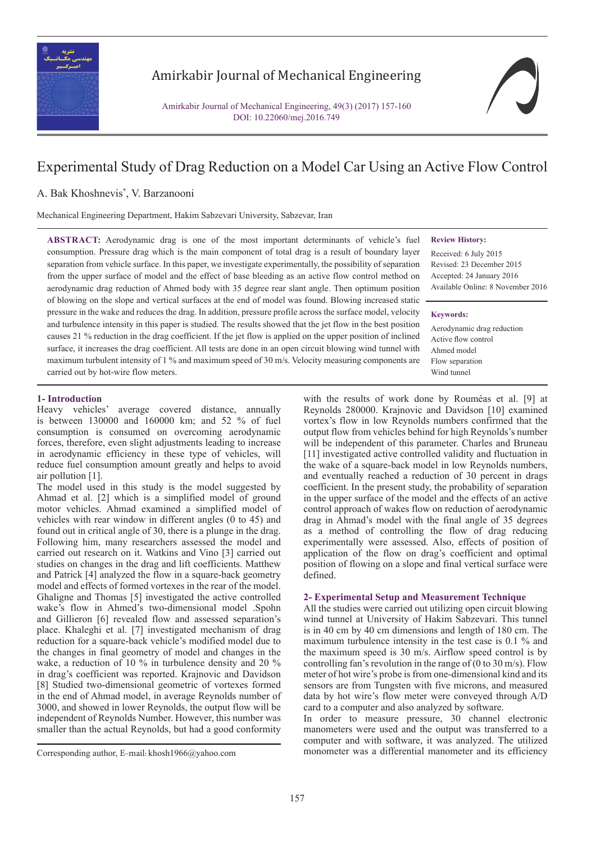

## Amirkabir Journal of Mechanical Engineering

Amirkabir Journal of Mechanical Engineering, 49(3) (2017) 157-160 DOI: 10.22060/mej.2016.749

# Experimental Study of Drag Reduction on a Model Car Using an Active Flow Control

## A. Bak Khoshnevis\* , V. Barzanooni

Mechanical Engineering Department, Hakim Sabzevari University, Sabzevar, Iran

**ABSTRACT:** Aerodynamic drag is one of the most important determinants of vehicle's fuel consumption. Pressure drag which is the main component of total drag is a result of boundary layer separation from vehicle surface. In this paper, we investigate experimentally, the possibility of separation from the upper surface of model and the effect of base bleeding as an active flow control method on aerodynamic drag reduction of Ahmed body with 35 degree rear slant angle. Then optimum position of blowing on the slope and vertical surfaces at the end of model was found. Blowing increased static pressure in the wake and reduces the drag. In addition, pressure profile across the surface model, velocity and turbulence intensity in this paper is studied. The results showed that the jet flow in the best position causes 21 % reduction in the drag coefficient. If the jet flow is applied on the upper position of inclined surface, it increases the drag coefficient. All tests are done in an open circuit blowing wind tunnel with maximum turbulent intensity of 1 % and maximum speed of 30 m/s. Velocity measuring components are carried out by hot-wire flow meters.

**Review History:**

Received: 6 July 2015 Revised: 23 December 2015 Accepted: 24 January 2016 Available Online: 8 November 2016

#### **Keywords:**

Aerodynamic drag reduction Active flow control Ahmed model Flow separation Wind tunnel

## **1- Introduction**

Heavy vehicles' average covered distance, annually is between 130000 and 160000 km; and 52 % of fuel consumption is consumed on overcoming aerodynamic forces, therefore, even slight adjustments leading to increase in aerodynamic efficiency in these type of vehicles, will reduce fuel consumption amount greatly and helps to avoid air pollution [1].

The model used in this study is the model suggested by Ahmad et al. [2] which is a simplified model of ground motor vehicles. Ahmad examined a simplified model of vehicles with rear window in different angles (0 to 45) and found out in critical angle of 30, there is a plunge in the drag. Following him, many researchers assessed the model and carried out research on it. Watkins and Vino [3] carried out studies on changes in the drag and lift coefficients. Matthew and Patrick [4] analyzed the flow in a square-back geometry model and effects of formed vortexes in the rear of the model. Ghaligne and Thomas [5] investigated the active controlled wake's flow in Ahmed's two-dimensional model .Spohn and Gillieron [6] revealed flow and assessed separation's place. Khaleghi et al. [7] investigated mechanism of drag reduction for a square-back vehicle's modified model due to the changes in final geometry of model and changes in the wake, a reduction of 10 % in turbulence density and 20 % in drag's coefficient was reported. Krajnovic and Davidson [8] Studied two-dimensional geometric of vortexes formed in the end of Ahmad model, in average Reynolds number of 3000, and showed in lower Reynolds, the output flow will be independent of Reynolds Number. However, this number was smaller than the actual Reynolds, but had a good conformity

with the results of work done by Rouméas et al. [9] at Reynolds 280000. Krajnovic and Davidson [10] examined vortex's flow in low Reynolds numbers confirmed that the output flow from vehicles behind for high Reynolds's number will be independent of this parameter. Charles and Bruneau [11] investigated active controlled validity and fluctuation in the wake of a square-back model in low Reynolds numbers, and eventually reached a reduction of 30 percent in drags coefficient. In the present study, the probability of separation in the upper surface of the model and the effects of an active control approach of wakes flow on reduction of aerodynamic drag in Ahmad's model with the final angle of 35 degrees as a method of controlling the flow of drag reducing experimentally were assessed. Also, effects of position of application of the flow on drag's coefficient and optimal position of flowing on a slope and final vertical surface were defined.

### **2- Experimental Setup and Measurement Technique**

All the studies were carried out utilizing open circuit blowing wind tunnel at University of Hakim Sabzevari. This tunnel is in 40 cm by 40 cm dimensions and length of 180 cm. The maximum turbulence intensity in the test case is 0.1 % and the maximum speed is 30 m/s. Airflow speed control is by controlling fan's revolution in the range of  $(0 \text{ to } 30 \text{ m/s})$ . Flow meter of hot wire's probe is from one-dimensional kind and its sensors are from Tungsten with five microns, and measured data by hot wire's flow meter were conveyed through A/D card to a computer and also analyzed by software.

In order to measure pressure, 30 channel electronic manometers were used and the output was transferred to a computer and with software, it was analyzed. The utilized Corresponding author, E-mail: khosh1966@yahoo.com monometer was a differential manometer and its efficiency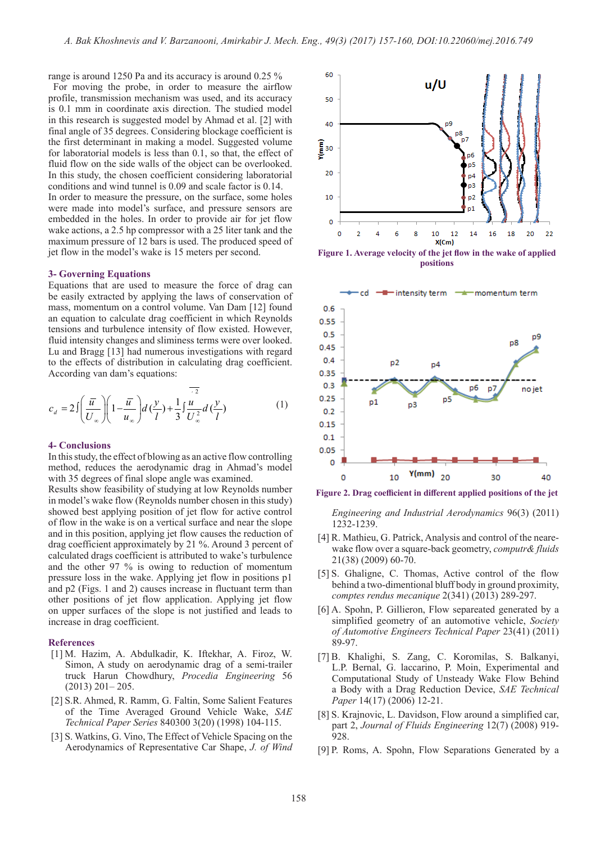range is around 1250 Pa and its accuracy is around 0.25 % For moving the probe, in order to measure the airflow profile, transmission mechanism was used, and its accuracy is 0.1 mm in coordinate axis direction. The studied model in this research is suggested model by Ahmad et al. [2] with final angle of 35 degrees. Considering blockage coefficient is the first determinant in making a model. Suggested volume for laboratorial models is less than 0.1, so that, the effect of fluid flow on the side walls of the object can be overlooked. In this study, the chosen coefficient considering laboratorial conditions and wind tunnel is 0.09 and scale factor is 0.14. In order to measure the pressure, on the surface, some holes were made into model's surface, and pressure sensors are embedded in the holes. In order to provide air for jet flow wake actions, a 2.5 hp compressor with a 25 liter tank and the maximum pressure of 12 bars is used. The produced speed of jet flow in the model's wake is 15 meters per second.

#### **3- Governing Equations**

Equations that are used to measure the force of drag can be easily extracted by applying the laws of conservation of mass, momentum on a control volume. Van Dam [12] found an equation to calculate drag coefficient in which Reynolds tensions and turbulence intensity of flow existed. However, fluid intensity changes and sliminess terms were over looked. Lu and Bragg [13] had numerous investigations with regard to the effects of distribution in calculating drag coefficient. According van dam's equations:

$$
c_d = 2\int \left(\frac{\overline{u}}{U_{\infty}}\right) \left(1 - \frac{\overline{u}}{u_{\infty}}\right) d\left(\frac{y}{l}\right) + \frac{1}{3} \int \frac{\overline{u}^2}{U_{\infty}^2} d\left(\frac{y}{l}\right) \tag{1}
$$

#### **4- Conclusions**

In this study, the effect of blowing as an active flow controlling method, reduces the aerodynamic drag in Ahmad's model with 35 degrees of final slope angle was examined.

Results show feasibility of studying at low Reynolds number in model's wake flow (Reynolds number chosen in this study) showed best applying position of jet flow for active control of flow in the wake is on a vertical surface and near the slope and in this position, applying jet flow causes the reduction of drag coefficient approximately by 21 %. Around 3 percent of calculated drags coefficient is attributed to wake's turbulence and the other 97 % is owing to reduction of momentum pressure loss in the wake. Applying jet flow in positions p1 and p2 (Figs. 1 and 2) causes increase in fluctuant term than other positions of jet flow application. Applying jet flow on upper surfaces of the slope is not justified and leads to increase in drag coefficient.

### **References**

- [1] M. Hazim, A. Abdulkadir, K. Iftekhar, A. Firoz, W. Simon, A study on aerodynamic drag of a semi-trailer truck Harun Chowdhury, *Procedia Engineering* 56 (2013) 201– 205.
- [2] S.R. Ahmed, R. Ramm, G. Faltin, Some Salient Features of the Time Averaged Ground Vehicle Wake, *SAE Technical Paper Series* 840300 3(20) (1998) 104-115.
- [3] S. Watkins, G. Vino, The Effect of Vehicle Spacing on the Aerodynamics of Representative Car Shape, *J. of Wind*



**Figure 1. Average velocity of the jet flow in the wake of applied positions**



**Figure 2. Drag coefficient in different applied positions of the jet**

*Engineering and Industrial Aerodynamics* 96(3) (2011) 1232-1239.

- [4] R. Mathieu, G. Patrick, Analysis and control of the nearewake flow over a square-back geometry, *computr& fluids*  21(38) (2009) 60-70.
- [5] S. Ghaligne, C. Thomas, Active control of the flow behind a two-dimentional bluff body in ground proximity, *comptes rendus mecanique* 2(341) (2013) 289-297.
- [6] A. Spohn, P. Gillieron, Flow separeated generated by a simplified geometry of an automotive vehicle, *Society of Automotive Engineers Technical Paper* 23(41) (2011) 89-97.
- [7] B. Khalighi, S. Zang, C. Koromilas, S. Balkanyi, L.P. Bernal, G. laccarino, P. Moin, Experimental and Computational Study of Unsteady Wake Flow Behind a Body with a Drag Reduction Device, *SAE Technical Paper* 14(17) (2006) 12-21.
- [8] S. Krajnovic, L. Davidson, Flow around a simplified car, part 2, *Journal of Fluids Engineering* 12(7) (2008) 919- 928.
- [9] P. Roms, A. Spohn, Flow Separations Generated by a